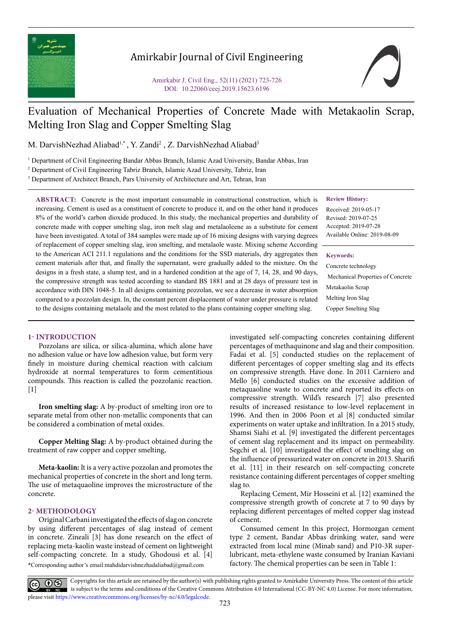

## Amirkabir Journal of Civil Engineering

Amirkabir J. Civil Eng., 52(11) (2021) 723-726 DOI: 10.22060/ceej.2019.15623.6196

# Evaluation of Mechanical Properties of Concrete Made with Metakaolin Scrap, Melting Iron Slag and Copper Smelting Slag

M. DarvishNezhad Aliabad<sup>1,\*</sup>, Y. Zandi<sup>2</sup>, Z. DarvishNezhad Aliabad<sup>3</sup>

1 Department of Civil Engineering Bandar Abbas Branch, Islamic Azad University, Bandar Abbas, Iran

2 Department of Civil Engineering Tabriz Branch, Islamic Azad University, Tabriz, Iran

<sup>3</sup> Department of Architect Branch, Pars University of Architecture and Art, Tehran, Iran

**ABSTRACT:** Concrete is the most important consumable in constructional construction, which is increasing. Cement is used as a constituent of concrete to produce it, and on the other hand it produces 8% of the world's carbon dioxide produced. In this study, the mechanical properties and durability of concrete made with copper smelting slag, iron melt slag and metalaoleene as a substitute for cement have been investigated. A total of 384 samples were made up of 16 mixing designs with varying degrees of replacement of copper smelting slag, iron smelting, and metalaole waste. Mixing scheme According to the American ACI 211.1 regulations and the conditions for the SSD materials, dry aggregates then cement materials after that, and finally the supernatant, were gradually added to the mixture. On the designs in a fresh state, a slump test, and in a hardened condition at the age of 7, 14, 28, and 90 days, the compressive strength was tested according to standard BS 1881 and at 28 days of pressure test in accordance with DIN 1048-5. In all designs containing pozzolan, we see a decrease in water absorption compared to a pozzolan design. In, the constant percent displacement of water under pressure is related to the designs containing metalaole and the most related to the plans containing copper smelting slag.

#### **Review History:**

Received: 2019-05-17 Revised: 2019-07-25 Accepted: 2019-07-28 Available Online: 2019-08-09

#### **Keywords:**

Concrete technology Mechanical Properties of Concrete Metakaolin Scrap Melting Iron Slag Copper Smelting Slag

#### **1- INTRODUCTION**

Pozzolans are silica, or silica-alumina, which alone have no adhesion value or have low adhesion value, but form very finely in moisture during chemical reaction with calcium hydroxide at normal temperatures to form cementitious compounds. This reaction is called the pozzolanic reaction. [1]

**Iron smelting slag:** A by-product of smelting iron ore to separate metal from other non-metallic components that can be considered a combination of metal oxides.

**Copper Melting Slag:** A by-product obtained during the treatment of raw copper and copper smelting,

**Meta-kaolin:** It is a very active pozzolan and promotes the mechanical properties of concrete in the short and long term. The use of metaquaoline improves the microstructure of the concrete.

## **2- METHODOLOGY**

\*Corresponding author's email:mahdidarvishnezhadaliabad@gmail.com Original Carbani investigated the effects of slag on concrete by using different percentages of slag instead of cement in concrete. Zineali [3] has done research on the effect of replacing meta-kaolin waste instead of cement on lightweight self-compacting concrete. In a study, Ghodousi et al. [4]

investigated self-compacting concretes containing different percentages of methaquinone and slag and their composition. Fadai et al. [5] conducted studies on the replacement of different percentages of copper smelting slag and its effects on compressive strength. Have done. In 2011 Carniero and Mello [6] conducted studies on the excessive addition of metaquaoline waste to concrete and reported its effects on compressive strength. Wild's research [7] also presented results of increased resistance to low-level replacement in 1996. And then in 2006 Poon et al [8] conducted similar experiments on water uptake and infiltration. In a 2015 study, Shamsi Siahi et al. [9] investigated the different percentages of cement slag replacement and its impact on permeability. Segchi et al. [10] investigated the effect of smelting slag on the influence of pressurized water on concrete in 2013. Sharifi et al. [11] in their research on self-compacting concrete resistance containing different percentages of copper smelting slag to.

Replacing Cement, Mir Hosseini et al. [12] examined the compressive strength growth of concrete at 7 to 90 days by replacing different percentages of melted copper slag instead of cement.

Consumed cement In this project, Hormozgan cement type 2 cement, Bandar Abbas drinking water, sand were extracted from local mine (Minab sand) and P10-3R superlubricant, meta-ethylene waste consumed by Iranian Kaviani factory. The chemical properties can be seen in Table 1:

Copyrights for this article are retained by the author(s) with publishing rights granted to Amirkabir University Press. The content of this article is subject to the terms and conditions of the Creative Commons Attribution 4.0 International (CC-BY-NC 4.0) License. For more information, please visit https://www.creativecommons.org/licenses/by-nc/4.0/legalcode.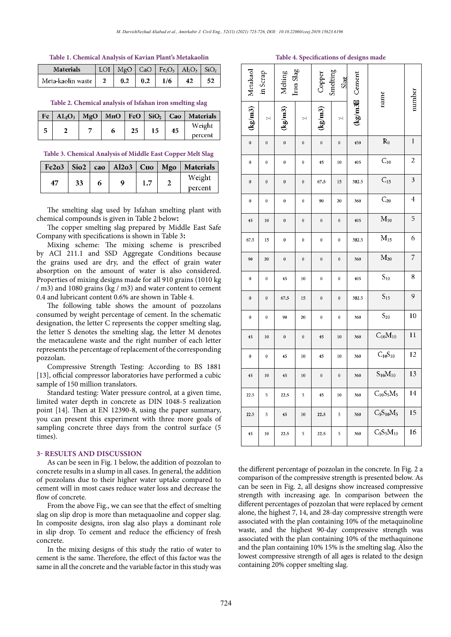#### **Table 1. Chemical Analysis of Kavian Plant's Metakaolin**

| <b>Materials</b>  |  |                       | LOI   MgO   CaO   Fe <sub>2</sub> O <sub>3</sub>   Al <sub>2</sub> O <sub>3</sub>   SiO <sub>2</sub> |    |  |
|-------------------|--|-----------------------|------------------------------------------------------------------------------------------------------|----|--|
| Meta-kaolin waste |  | $0.2 \pm 0.2 \pm 1/6$ |                                                                                                      | 42 |  |

**Table 2: Chemical analysis of Isfahan iron smelting slag Table 2. Chemical analysis of Isfahan iron smelting slag**

| Fe | $AL_2O_3$ | MgO | MnO |    | FeO $\vert$ SiO <sub>2</sub> | $\overline{\phantom{a}}$ Cao | Materials |
|----|-----------|-----|-----|----|------------------------------|------------------------------|-----------|
|    |           |     |     | 25 |                              | 45                           | Weight    |
|    |           |     |     |    |                              |                              | percent   |

## **Table 3. Chemical Analysis of Middle East Copper Melt Slag**

| $Fe2o3$   Sio2 |    |   |  | cao   Al $2o3$   Cuo   Mgo   Materials |
|----------------|----|---|--|----------------------------------------|
| 47             | 33 | ۵ |  | Weight                                 |
|                |    |   |  | percent                                |

The smelting slag used by Isfahan smelting plant with chemical compounds is given in Table 2 below**:**

The copper smelting slag prepared by Middle East Safe Company with specifications is shown in Table 3**:**

Mixing scheme: The mixing scheme is prescribed by ACI 211.1 and SSD Aggregate Conditions because the grains used are dry, and the effect of grain water absorption on the amount of water is also considered. Properties of mixing designs made for all 910 grains (1010 kg / m3) and 1080 grains (kg / m3) and water content to cement 0.4 and lubricant content 0.6% are shown in Table 4.

The following table shows the amount of pozzolans consumed by weight percentage of cement. In the schematic designation, the letter C represents the copper smelting slag, the letter S denotes the smelting slag, the letter M denotes the metacaulene waste and the right number of each letter represents the percentage of replacement of the corresponding pozzolan.

Compressive Strength Testing: According to BS 1881 [13], official compressor laboratories have performed a cubic sample of 150 million translators.

Standard testing: Water pressure control, at a given time, limited water depth in concrete as DIN 1048-5 realization point [14]. Then at EN 12390-8, using the paper summary, you can present this experiment with three more goals of sampling concrete three days from the control surface (5 times).

## **3- RESULTS AND DISCUSSION**

As can be seen in Fig. 1 below, the addition of pozzolan to concrete results in a slump in all cases. In general, the addition of pozzolans due to their higher water uptake compared to cement will in most cases reduce water loss and decrease the flow of concrete.

From the above Fig., we can see that the effect of smelting slag on slip drop is more than metaquaoline and copper slag. In composite designs, iron slag also plays a dominant role in slip drop. To cement and reduce the efficiency of fresh concrete.

In the mixing designs of this study the ratio of water to cement is the same. Therefore, the effect of this factor was the same in all the concrete and the variable factor in this study was

## **Table 4. Specifications of designs made**

| Metakaol         | Iron Slag<br>in Scrap<br>Melting |                                  |                  | Smelting<br>Copper<br>Slag       |                  | (kg/m3 <sup>8</sup> Cement | name           | number                  |
|------------------|----------------------------------|----------------------------------|------------------|----------------------------------|------------------|----------------------------|----------------|-------------------------|
| (kg/m3)          | $\ddot{\sim}$                    | $\left({\rm kg}/{\rm m}3\right)$ | $\mathbb{R}^2$   | $\left({\rm kg}/{\rm m}3\right)$ | $\ddot{\sim}$    |                            |                |                         |
| $\mathbf{0}$     | $\mathbf{0}$                     | $\mathbf{0}$                     | $\boldsymbol{0}$ | $\mathbf{0}$                     | $\mathbf 0$      | 450                        | $R_0$          | $\mathbf{1}$            |
| $\mathbf 0$      | $\mathbf 0$                      | $\mathbf 0$                      | $\mathbf 0$      | 45                               | 10               | 405                        | $C_{10}$       | $\overline{c}$          |
| $\boldsymbol{0}$ | $\boldsymbol{0}$                 | $\boldsymbol{0}$                 | $\bf{0}$         | 67.5                             | 15               | 382.5                      | $C_{15}$       | $\overline{\mathbf{3}}$ |
| $\bf{0}$         | $\bf{0}$                         | $\bf{0}$                         | 0                | 90                               | 20               | 360                        | $C_{20}$       | 4                       |
| 45               | 10                               | $\pmb{0}$                        | $\bf{0}$         | $\mathbf{0}$                     | $\boldsymbol{0}$ | 405                        | $M_{10}$       | 5                       |
| 67.5             | 15                               | $\bf{0}$                         | $\bf{0}$         | $\bf{0}$                         | $\bf{0}$         | 382.5                      | $M_{15}$       | 6                       |
| 90               | 20                               | $\mathbf 0$                      | $\boldsymbol{0}$ | $\boldsymbol{0}$                 | $\bf{0}$         | 360                        | $M_{20}$       | 7                       |
| $\pmb{0}$        | $\pmb{0}$                        | 45                               | 10               | $\pmb{0}$                        | $\pmb{0}$        | 405                        | $S_{10}$       | 8                       |
| $\boldsymbol{0}$ | $\mathbf 0$                      | 67.5                             | 15               | $\mathbf 0$                      | $\mathbf 0$      | 382.5                      | $S_{15}$       | 9                       |
| $\bf{0}$         | $\mathbf 0$                      | 90                               | 20               | $\mathbf 0$                      | $\mathbf 0$      | 360                        | $S_{20}$       | 10                      |
| 45               | 10                               | $\mathbf 0$                      | $\boldsymbol{0}$ | 45                               | 10               | 360                        | $C_{10}M_{10}$ | $\overline{11}$         |
| $\mathbf 0$      | $\mathbf{0}$                     | 45                               | 10               | 45                               | 10               | 360                        | $C_{10}S_{10}$ | 12                      |
| 45               | 10                               | 45                               | 10               | $\mathbf{0}$                     | $\boldsymbol{0}$ | 360                        | $S_{10}M_{10}$ | 13                      |
| 22.5             | 5                                | 22.5                             | 5                | 45                               | 10               | 360                        | $C_{10}S_5M_5$ | 14                      |
| 22.5             | 5                                | 45                               | 10               | 22.5                             | 5                | 360                        | $C_5S_{10}M_5$ | 15                      |
| 45               | 10                               | 22.5                             | 5                | 22.5                             | 5                | 360                        | $C_5S_5M_{10}$ | 16                      |

the different percentage of pozzolan in the concrete. In Fig. 2 a comparison of the compressive strength is presented below. As can be seen in Fig. 2, all designs show increased compressive strength with increasing age. In comparison between the different percentages of pozzolan that were replaced by cement alone, the highest 7, 14, and 28-day compressive strength were associated with the plan containing 10% of the metaquinoline waste, and the highest 90-day compressive strength was associated with the plan containing 10% of the methaquinone and the plan containing 10% 15% is the smelting slag. Also the lowest compressive strength of all ages is related to the design containing 20% copper smelting slag.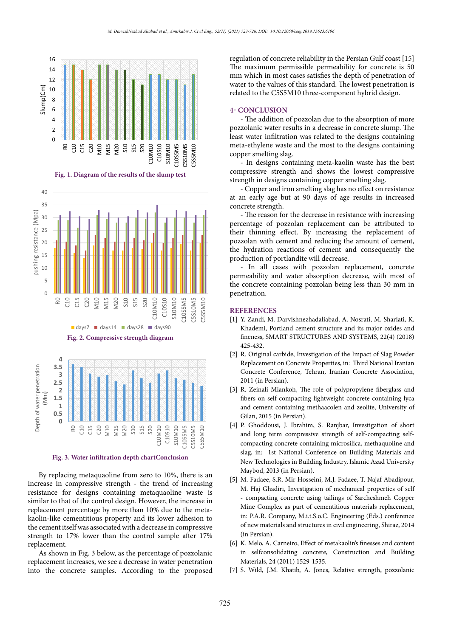

**Fig. 1. Diagram of the results of the slump test**



**Fig. 2. Compressive strength diagram**



**Fig. 3. Water infiltration depth chartConclusion**

By replacing metaquaoline from zero to 10%, there is an increase in compressive strength - the trend of increasing resistance for designs containing metaquaoline waste is similar to that of the control design. However, the increase in replacement percentage by more than 10% due to the metakaolin-like cementitious property and its lower adhesion to the cement itself was associated with a decrease in compressive strength to 17% lower than the control sample after 17% replacement.

As shown in Fig. 3 below, as the percentage of pozzolanic replacement increases, we see a decrease in water penetration into the concrete samples. According to the proposed

regulation of concrete reliability in the Persian Gulf coast [15] The maximum permissible permeability for concrete is 50 mm which in most cases satisfies the depth of penetration of water to the values of this standard. The lowest penetration is related to the C5S5M10 three-component hybrid design.

#### **4- CONCLUSION**

- The addition of pozzolan due to the absorption of more pozzolanic water results in a decrease in concrete slump. The least water infiltration was related to the designs containing meta-ethylene waste and the most to the designs containing copper smelting slag.

- In designs containing meta-kaolin waste has the best compressive strength and shows the lowest compressive strength in designs containing copper smelting slag.

**Figure 1: Diagram of the results of the slump test** - Copper and iron smelting slag has no effect on resistance at an early age but at 90 days of age results in increased concrete strength.

> - The reason for the decrease in resistance with increasing percentage of pozzolan replacement can be attributed to their thinning effect. By increasing the replacement of pozzolan with cement and reducing the amount of cement, the hydration reactions of cement and consequently the production of portlandite will decrease.

> - In all cases with pozzolan replacement, concrete permeability and water absorption decrease, with most of the concrete containing pozzolan being less than 30 mm in penetration.

## **REFERENCES**

- [1] Y. Zandi, M. Darvishnezhadaliabad, A. Nosrati, M. Shariati, K. Khademi, Portland cement structure and its major oxides and fineness, SMART STRUCTURES AND SYSTEMS, 22(4) (2018) 425-432.
- [2] R. Original carbide, Investigation of the Impact of Slag Powder Replacement on Concrete Properties, in: Third National Iranian Concrete Conference, Tehran, Iranian Concrete Association, 2011 (in Persian).
- [3] R. Zeinali Miankoh, The role of polypropylene fiberglass and fibers on self-compacting lightweight concrete containing lyca and cement containing methaacolen and zeolite, University of Gilan, 2015 (in Persian).
- [4] P. Ghoddousi, J. Ibrahim, S. Ranjbar, Investigation of short and long term compressive strength of self-compacting selfcompacting concrete containing microsilica, methaquoline and slag, in: 1st National Conference on Building Materials and New Technologies in Building Industry, Islamic Azad University Maybod, 2013 (in Persian).
- [5] M. Fadaee, S.R. Mir Hosseini, M.J. Fadaee, T. Najaf Abadipour, M. Haj Ghadiri, Investigation of mechanical properties of self - compacting concrete using tailings of Sarcheshmeh Copper Mine Complex as part of cementitious materials replacement, in: P.A.R. Company, M.i.t.S.o.C. Engineering (Eds.) conference of new materials and structures in civil engineering, Shiraz, 2014 (in Persian).
- [6] K. Melo, A. Carneiro, Effect of metakaolin's finesses and content in selfconsolidating concrete, Construction and Building Materials, 24 (2011) 1529-1535.
- [7] S. Wild, J.M. Khatib, A. Jones, Relative strength, pozzolanic